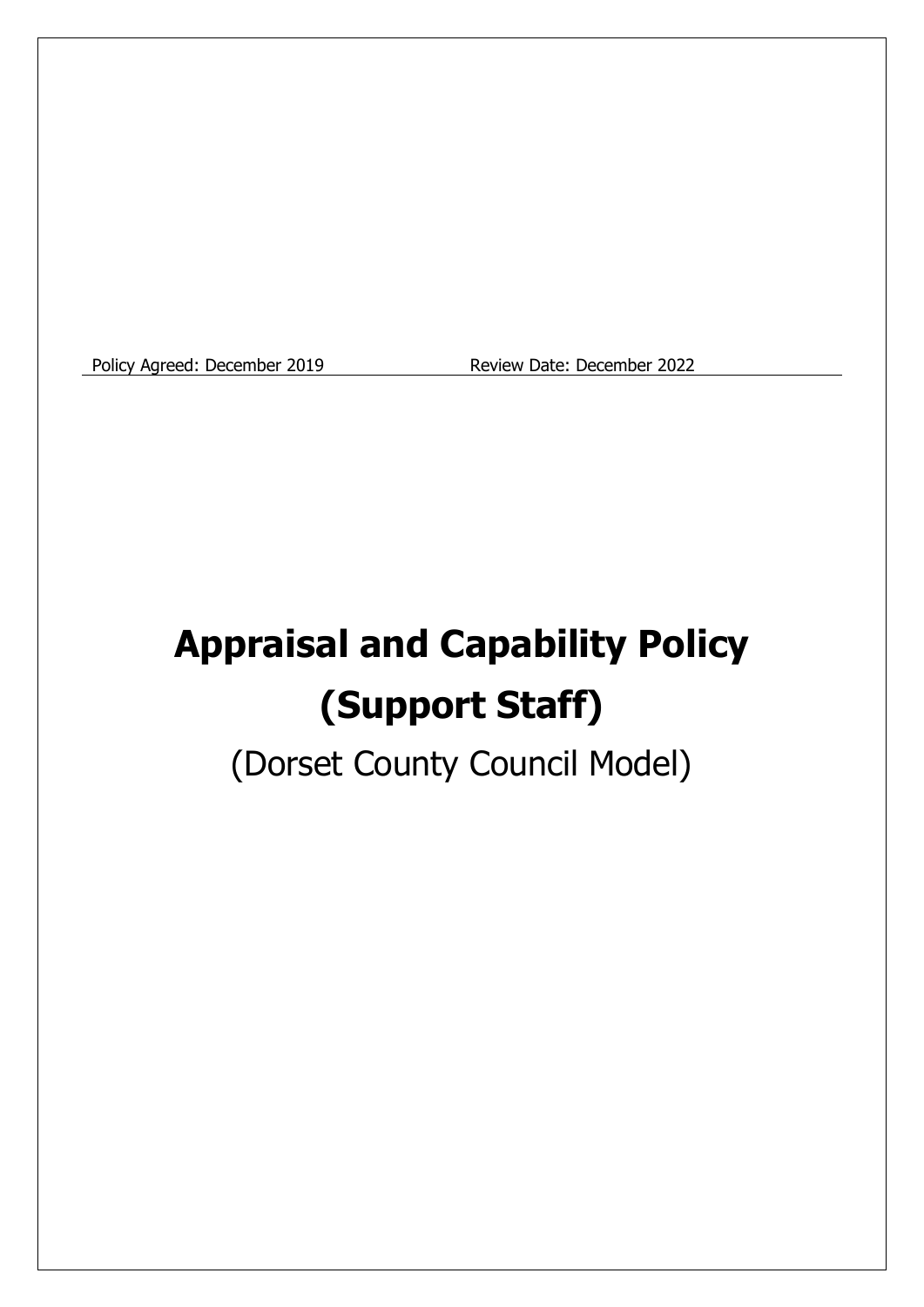Policy Agreed: December 2019 Review Date: December 2022

# **Appraisal and Capability Policy (Support Staff)**

(Dorset County Council Model)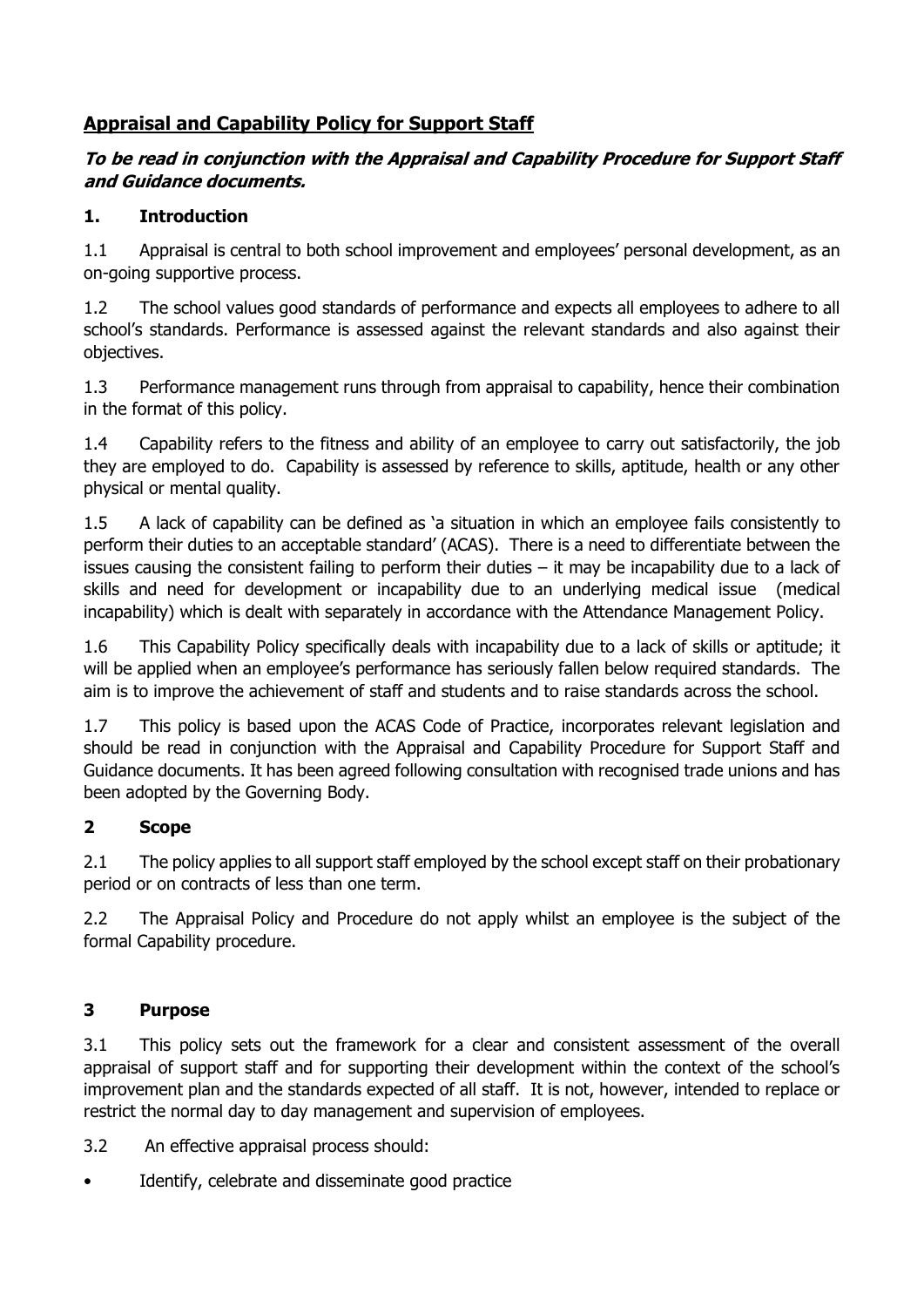# **Appraisal and Capability Policy for Support Staff**

## **To be read in conjunction with the Appraisal and Capability Procedure for Support Staff and Guidance documents.**

## **1. Introduction**

1.1 Appraisal is central to both school improvement and employees' personal development, as an on-going supportive process.

1.2 The school values good standards of performance and expects all employees to adhere to all school's standards. Performance is assessed against the relevant standards and also against their objectives.

1.3 Performance management runs through from appraisal to capability, hence their combination in the format of this policy.

1.4 Capability refers to the fitness and ability of an employee to carry out satisfactorily, the job they are employed to do. Capability is assessed by reference to skills, aptitude, health or any other physical or mental quality.

1.5 A lack of capability can be defined as 'a situation in which an employee fails consistently to perform their duties to an acceptable standard' (ACAS). There is a need to differentiate between the issues causing the consistent failing to perform their duties – it may be incapability due to a lack of skills and need for development or incapability due to an underlying medical issue (medical incapability) which is dealt with separately in accordance with the Attendance Management Policy.

1.6 This Capability Policy specifically deals with incapability due to a lack of skills or aptitude; it will be applied when an employee's performance has seriously fallen below required standards. The aim is to improve the achievement of staff and students and to raise standards across the school.

1.7 This policy is based upon the ACAS Code of Practice, incorporates relevant legislation and should be read in conjunction with the Appraisal and Capability Procedure for Support Staff and Guidance documents. It has been agreed following consultation with recognised trade unions and has been adopted by the Governing Body.

# **2 Scope**

2.1 The policy applies to all support staff employed by the school except staff on their probationary period or on contracts of less than one term.

2.2 The Appraisal Policy and Procedure do not apply whilst an employee is the subject of the formal Capability procedure.

# **3 Purpose**

3.1 This policy sets out the framework for a clear and consistent assessment of the overall appraisal of support staff and for supporting their development within the context of the school's improvement plan and the standards expected of all staff. It is not, however, intended to replace or restrict the normal day to day management and supervision of employees.

3.2 An effective appraisal process should:

Identify, celebrate and disseminate good practice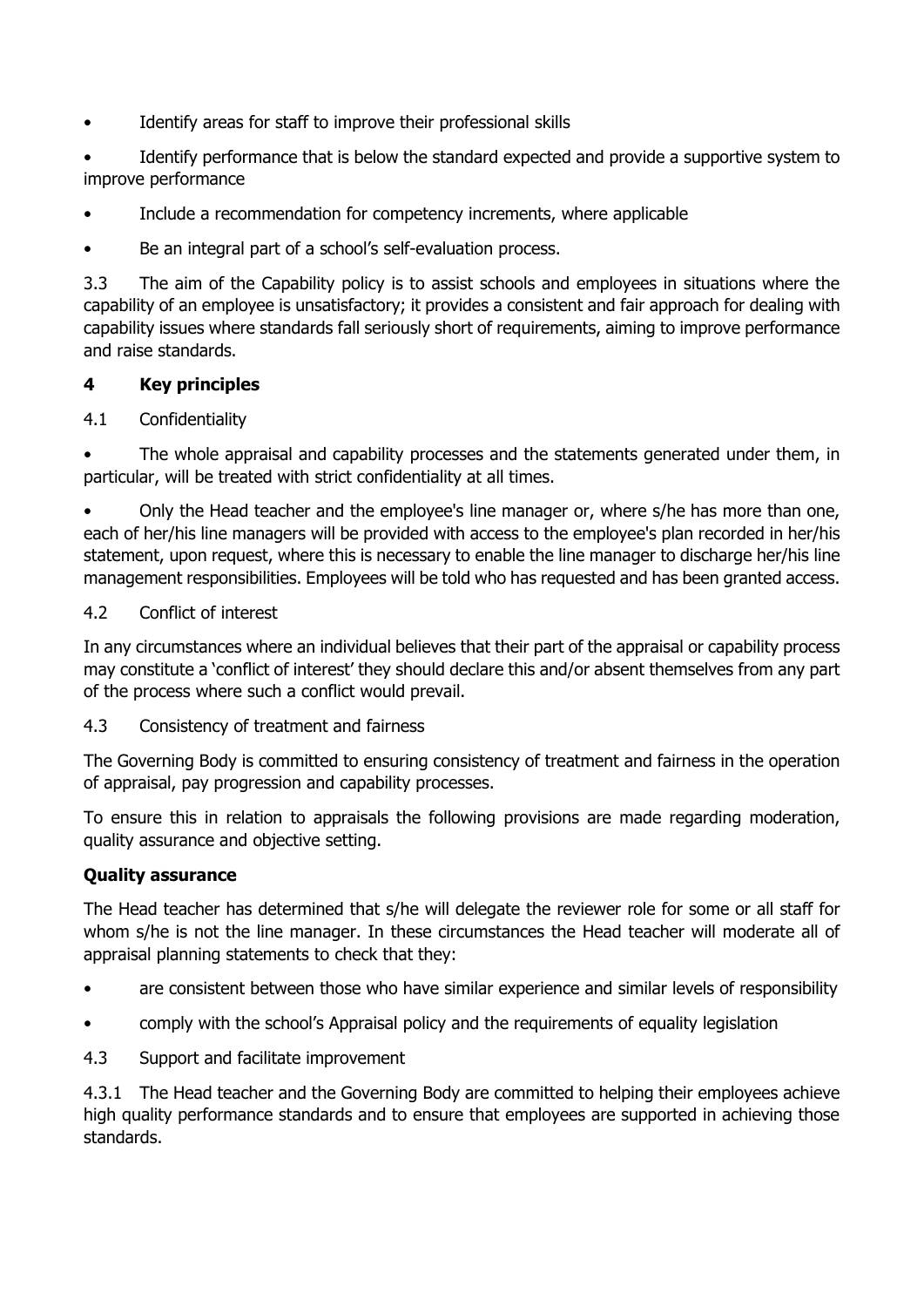• Identify areas for staff to improve their professional skills

• Identify performance that is below the standard expected and provide a supportive system to improve performance

- Include a recommendation for competency increments, where applicable
- Be an integral part of a school's self-evaluation process.

3.3 The aim of the Capability policy is to assist schools and employees in situations where the capability of an employee is unsatisfactory; it provides a consistent and fair approach for dealing with capability issues where standards fall seriously short of requirements, aiming to improve performance and raise standards.

## **4 Key principles**

#### 4.1 Confidentiality

The whole appraisal and capability processes and the statements generated under them, in particular, will be treated with strict confidentiality at all times.

• Only the Head teacher and the employee's line manager or, where s/he has more than one, each of her/his line managers will be provided with access to the employee's plan recorded in her/his statement, upon request, where this is necessary to enable the line manager to discharge her/his line management responsibilities. Employees will be told who has requested and has been granted access.

#### 4.2 Conflict of interest

In any circumstances where an individual believes that their part of the appraisal or capability process may constitute a 'conflict of interest' they should declare this and/or absent themselves from any part of the process where such a conflict would prevail.

#### 4.3 Consistency of treatment and fairness

The Governing Body is committed to ensuring consistency of treatment and fairness in the operation of appraisal, pay progression and capability processes.

To ensure this in relation to appraisals the following provisions are made regarding moderation, quality assurance and objective setting.

#### **Quality assurance**

The Head teacher has determined that s/he will delegate the reviewer role for some or all staff for whom s/he is not the line manager. In these circumstances the Head teacher will moderate all of appraisal planning statements to check that they:

- are consistent between those who have similar experience and similar levels of responsibility
- comply with the school's Appraisal policy and the requirements of equality legislation
- 4.3 Support and facilitate improvement

4.3.1 The Head teacher and the Governing Body are committed to helping their employees achieve high quality performance standards and to ensure that employees are supported in achieving those standards.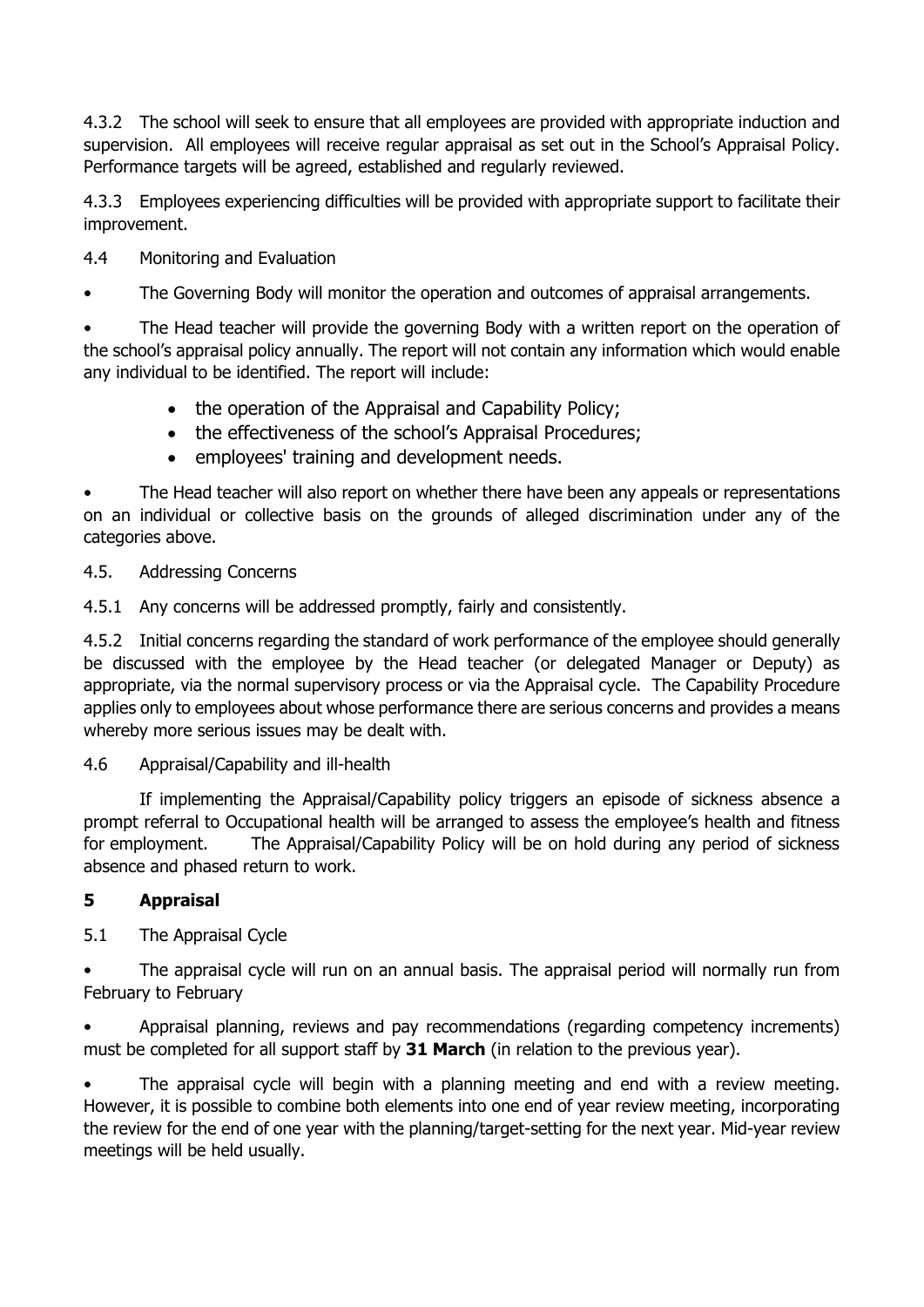4.3.2 The school will seek to ensure that all employees are provided with appropriate induction and supervision. All employees will receive regular appraisal as set out in the School's Appraisal Policy. Performance targets will be agreed, established and regularly reviewed.

4.3.3 Employees experiencing difficulties will be provided with appropriate support to facilitate their improvement.

4.4 Monitoring and Evaluation

The Governing Body will monitor the operation and outcomes of appraisal arrangements.

The Head teacher will provide the governing Body with a written report on the operation of the school's appraisal policy annually. The report will not contain any information which would enable any individual to be identified. The report will include:

- the operation of the Appraisal and Capability Policy;
- the effectiveness of the school's Appraisal Procedures;
- employees' training and development needs.

The Head teacher will also report on whether there have been any appeals or representations on an individual or collective basis on the grounds of alleged discrimination under any of the categories above.

4.5. Addressing Concerns

4.5.1 Any concerns will be addressed promptly, fairly and consistently.

4.5.2 Initial concerns regarding the standard of work performance of the employee should generally be discussed with the employee by the Head teacher (or delegated Manager or Deputy) as appropriate, via the normal supervisory process or via the Appraisal cycle. The Capability Procedure applies only to employees about whose performance there are serious concerns and provides a means whereby more serious issues may be dealt with.

4.6 Appraisal/Capability and ill-health

If implementing the Appraisal/Capability policy triggers an episode of sickness absence a prompt referral to Occupational health will be arranged to assess the employee's health and fitness for employment. The Appraisal/Capability Policy will be on hold during any period of sickness absence and phased return to work.

## **5 Appraisal**

5.1 The Appraisal Cycle

The appraisal cycle will run on an annual basis. The appraisal period will normally run from February to February

• Appraisal planning, reviews and pay recommendations (regarding competency increments) must be completed for all support staff by **31 March** (in relation to the previous year).

The appraisal cycle will begin with a planning meeting and end with a review meeting. However, it is possible to combine both elements into one end of year review meeting, incorporating the review for the end of one year with the planning/target-setting for the next year. Mid-year review meetings will be held usually.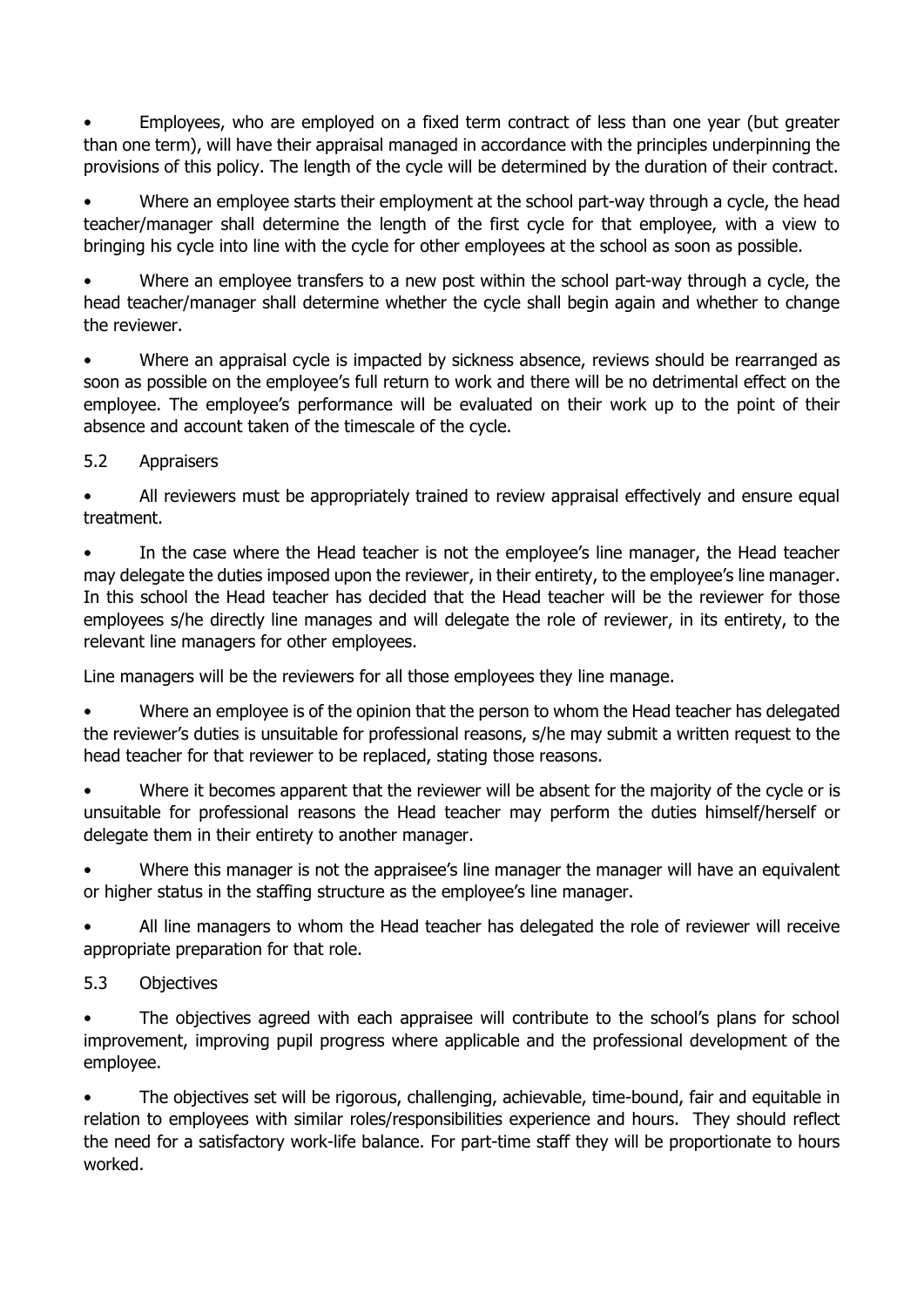• Employees, who are employed on a fixed term contract of less than one year (but greater than one term), will have their appraisal managed in accordance with the principles underpinning the provisions of this policy. The length of the cycle will be determined by the duration of their contract.

Where an employee starts their employment at the school part-way through a cycle, the head teacher/manager shall determine the length of the first cycle for that employee, with a view to bringing his cycle into line with the cycle for other employees at the school as soon as possible.

Where an employee transfers to a new post within the school part-way through a cycle, the head teacher/manager shall determine whether the cycle shall begin again and whether to change the reviewer.

• Where an appraisal cycle is impacted by sickness absence, reviews should be rearranged as soon as possible on the employee's full return to work and there will be no detrimental effect on the employee. The employee's performance will be evaluated on their work up to the point of their absence and account taken of the timescale of the cycle.

5.2 Appraisers

• All reviewers must be appropriately trained to review appraisal effectively and ensure equal treatment.

In the case where the Head teacher is not the employee's line manager, the Head teacher may delegate the duties imposed upon the reviewer, in their entirety, to the employee's line manager. In this school the Head teacher has decided that the Head teacher will be the reviewer for those employees s/he directly line manages and will delegate the role of reviewer, in its entirety, to the relevant line managers for other employees.

Line managers will be the reviewers for all those employees they line manage.

Where an employee is of the opinion that the person to whom the Head teacher has delegated the reviewer's duties is unsuitable for professional reasons, s/he may submit a written request to the head teacher for that reviewer to be replaced, stating those reasons.

Where it becomes apparent that the reviewer will be absent for the majority of the cycle or is unsuitable for professional reasons the Head teacher may perform the duties himself/herself or delegate them in their entirety to another manager.

Where this manager is not the appraisee's line manager the manager will have an equivalent or higher status in the staffing structure as the employee's line manager.

All line managers to whom the Head teacher has delegated the role of reviewer will receive appropriate preparation for that role.

5.3 Objectives

The objectives agreed with each appraisee will contribute to the school's plans for school improvement, improving pupil progress where applicable and the professional development of the employee.

• The objectives set will be rigorous, challenging, achievable, time-bound, fair and equitable in relation to employees with similar roles/responsibilities experience and hours. They should reflect the need for a satisfactory work-life balance. For part-time staff they will be proportionate to hours worked.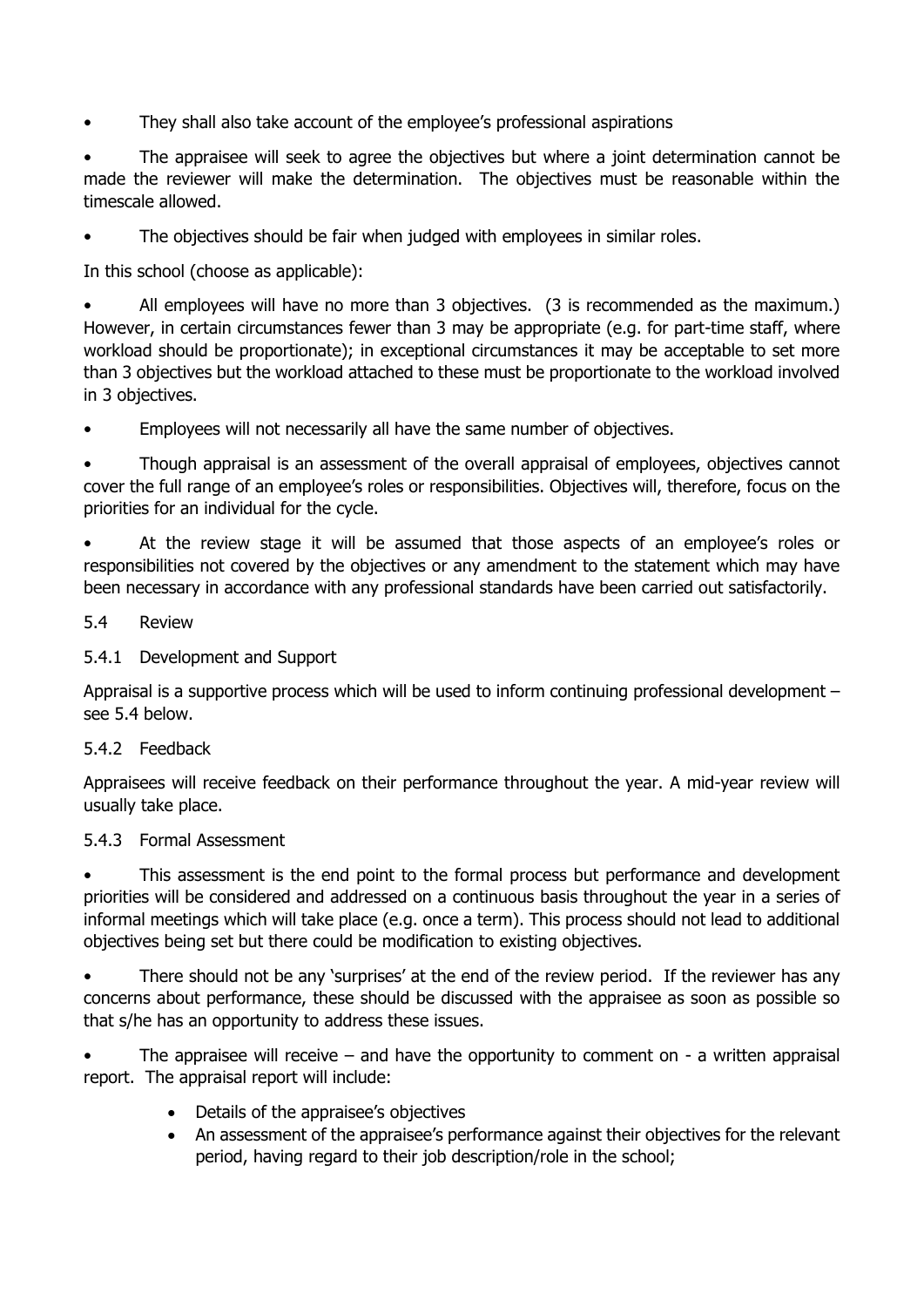• They shall also take account of the employee's professional aspirations

The appraisee will seek to agree the objectives but where a joint determination cannot be made the reviewer will make the determination. The objectives must be reasonable within the timescale allowed.

The objectives should be fair when judged with employees in similar roles.

In this school (choose as applicable):

All employees will have no more than 3 objectives. (3 is recommended as the maximum.) However, in certain circumstances fewer than 3 may be appropriate (e.g. for part-time staff, where workload should be proportionate); in exceptional circumstances it may be acceptable to set more than 3 objectives but the workload attached to these must be proportionate to the workload involved in 3 objectives.

• Employees will not necessarily all have the same number of objectives.

Though appraisal is an assessment of the overall appraisal of employees, objectives cannot cover the full range of an employee's roles or responsibilities. Objectives will, therefore, focus on the priorities for an individual for the cycle.

• At the review stage it will be assumed that those aspects of an employee's roles or responsibilities not covered by the objectives or any amendment to the statement which may have been necessary in accordance with any professional standards have been carried out satisfactorily.

#### 5.4 Review

#### 5.4.1 Development and Support

Appraisal is a supportive process which will be used to inform continuing professional development – see 5.4 below.

#### 5.4.2 Feedback

Appraisees will receive feedback on their performance throughout the year. A mid-year review will usually take place.

#### 5.4.3 Formal Assessment

This assessment is the end point to the formal process but performance and development priorities will be considered and addressed on a continuous basis throughout the year in a series of informal meetings which will take place (e.g. once a term). This process should not lead to additional objectives being set but there could be modification to existing objectives.

• There should not be any 'surprises' at the end of the review period. If the reviewer has any concerns about performance, these should be discussed with the appraisee as soon as possible so that s/he has an opportunity to address these issues.

The appraisee will receive – and have the opportunity to comment on - a written appraisal report. The appraisal report will include:

- Details of the appraisee's objectives
- An assessment of the appraisee's performance against their objectives for the relevant period, having regard to their job description/role in the school;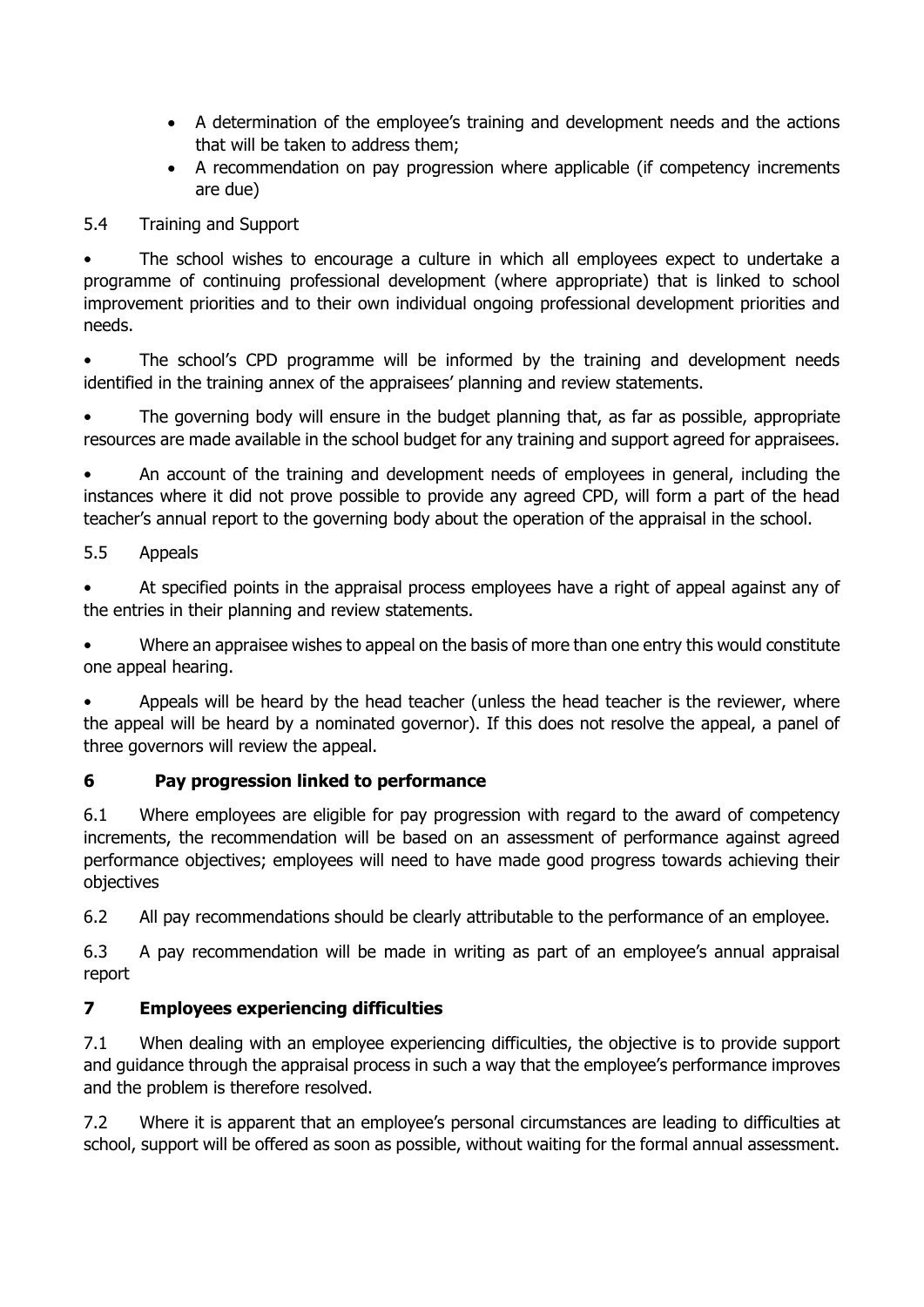- A determination of the employee's training and development needs and the actions that will be taken to address them;
- A recommendation on pay progression where applicable (if competency increments are due)

5.4 Training and Support

• The school wishes to encourage a culture in which all employees expect to undertake a programme of continuing professional development (where appropriate) that is linked to school improvement priorities and to their own individual ongoing professional development priorities and needs.

• The school's CPD programme will be informed by the training and development needs identified in the training annex of the appraisees' planning and review statements.

The governing body will ensure in the budget planning that, as far as possible, appropriate resources are made available in the school budget for any training and support agreed for appraisees.

• An account of the training and development needs of employees in general, including the instances where it did not prove possible to provide any agreed CPD, will form a part of the head teacher's annual report to the governing body about the operation of the appraisal in the school.

5.5 Appeals

• At specified points in the appraisal process employees have a right of appeal against any of the entries in their planning and review statements.

• Where an appraisee wishes to appeal on the basis of more than one entry this would constitute one appeal hearing.

Appeals will be heard by the head teacher (unless the head teacher is the reviewer, where the appeal will be heard by a nominated governor). If this does not resolve the appeal, a panel of three governors will review the appeal.

## **6 Pay progression linked to performance**

6.1 Where employees are eligible for pay progression with regard to the award of competency increments, the recommendation will be based on an assessment of performance against agreed performance objectives; employees will need to have made good progress towards achieving their objectives

6.2 All pay recommendations should be clearly attributable to the performance of an employee.

6.3 A pay recommendation will be made in writing as part of an employee's annual appraisal report

## **7 Employees experiencing difficulties**

7.1 When dealing with an employee experiencing difficulties, the objective is to provide support and guidance through the appraisal process in such a way that the employee's performance improves and the problem is therefore resolved.

7.2 Where it is apparent that an employee's personal circumstances are leading to difficulties at school, support will be offered as soon as possible, without waiting for the formal annual assessment.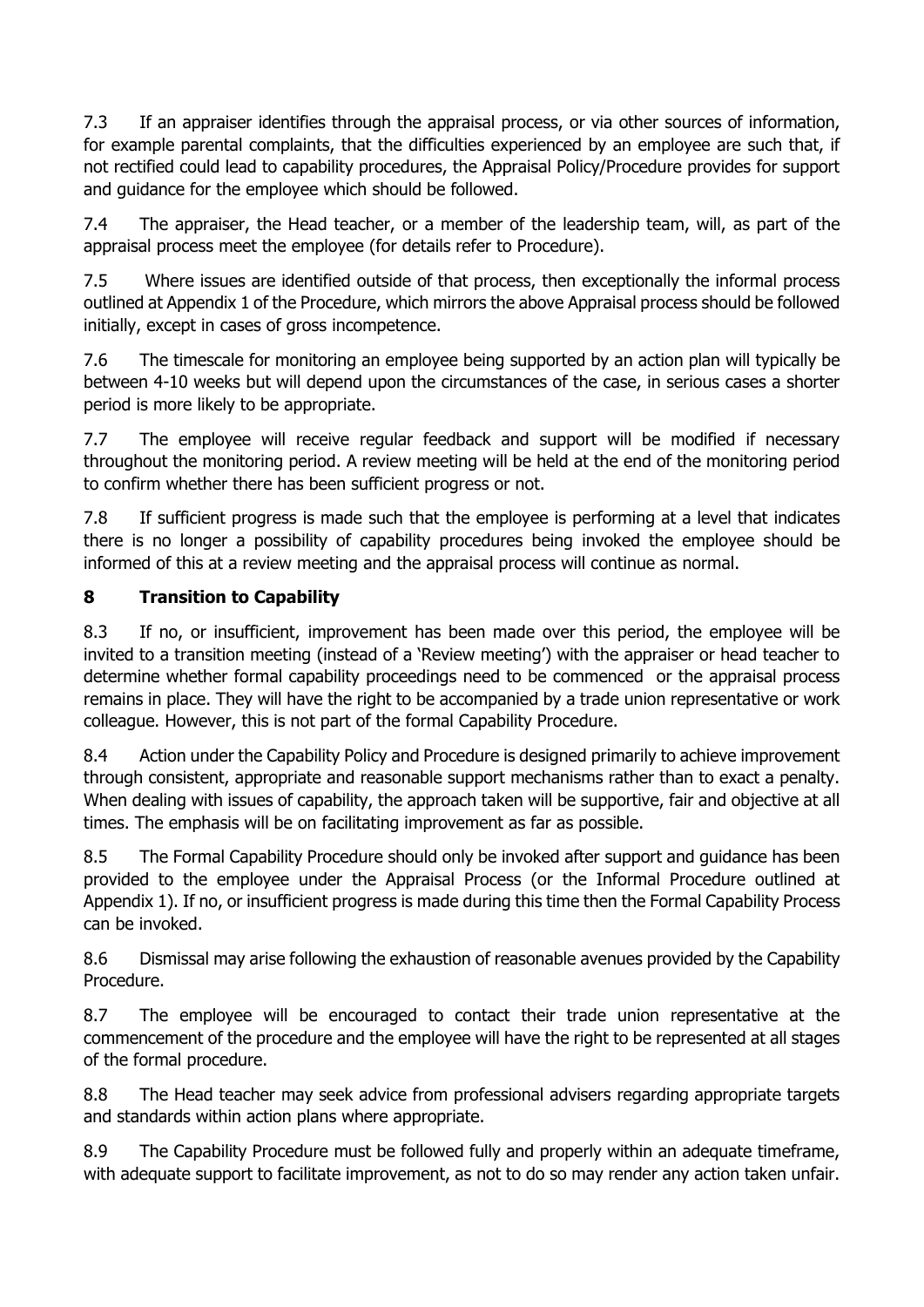7.3 If an appraiser identifies through the appraisal process, or via other sources of information, for example parental complaints, that the difficulties experienced by an employee are such that, if not rectified could lead to capability procedures, the Appraisal Policy/Procedure provides for support and guidance for the employee which should be followed.

7.4 The appraiser, the Head teacher, or a member of the leadership team, will, as part of the appraisal process meet the employee (for details refer to Procedure).

7.5 Where issues are identified outside of that process, then exceptionally the informal process outlined at Appendix 1 of the Procedure, which mirrors the above Appraisal process should be followed initially, except in cases of gross incompetence.

7.6 The timescale for monitoring an employee being supported by an action plan will typically be between 4-10 weeks but will depend upon the circumstances of the case, in serious cases a shorter period is more likely to be appropriate.

7.7 The employee will receive regular feedback and support will be modified if necessary throughout the monitoring period. A review meeting will be held at the end of the monitoring period to confirm whether there has been sufficient progress or not.

7.8 If sufficient progress is made such that the employee is performing at a level that indicates there is no longer a possibility of capability procedures being invoked the employee should be informed of this at a review meeting and the appraisal process will continue as normal.

## **8 Transition to Capability**

8.3 If no, or insufficient, improvement has been made over this period, the employee will be invited to a transition meeting (instead of a 'Review meeting') with the appraiser or head teacher to determine whether formal capability proceedings need to be commenced or the appraisal process remains in place. They will have the right to be accompanied by a trade union representative or work colleague. However, this is not part of the formal Capability Procedure.

8.4 Action under the Capability Policy and Procedure is designed primarily to achieve improvement through consistent, appropriate and reasonable support mechanisms rather than to exact a penalty. When dealing with issues of capability, the approach taken will be supportive, fair and objective at all times. The emphasis will be on facilitating improvement as far as possible.

8.5 The Formal Capability Procedure should only be invoked after support and guidance has been provided to the employee under the Appraisal Process (or the Informal Procedure outlined at Appendix 1). If no, or insufficient progress is made during this time then the Formal Capability Process can be invoked.

8.6 Dismissal may arise following the exhaustion of reasonable avenues provided by the Capability Procedure.

8.7 The employee will be encouraged to contact their trade union representative at the commencement of the procedure and the employee will have the right to be represented at all stages of the formal procedure.

8.8 The Head teacher may seek advice from professional advisers regarding appropriate targets and standards within action plans where appropriate.

8.9 The Capability Procedure must be followed fully and properly within an adequate timeframe, with adequate support to facilitate improvement, as not to do so may render any action taken unfair.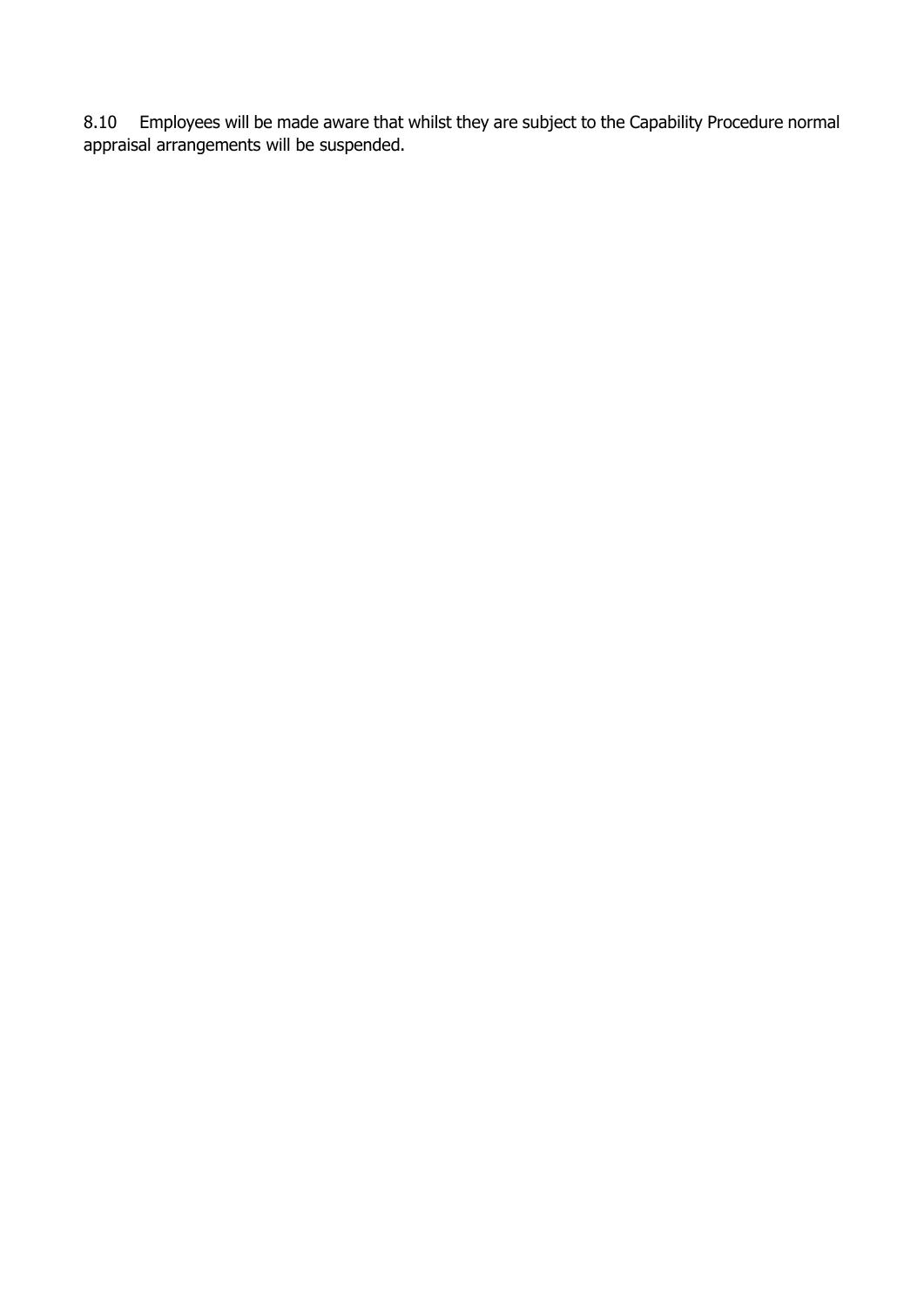8.10 Employees will be made aware that whilst they are subject to the Capability Procedure normal appraisal arrangements will be suspended.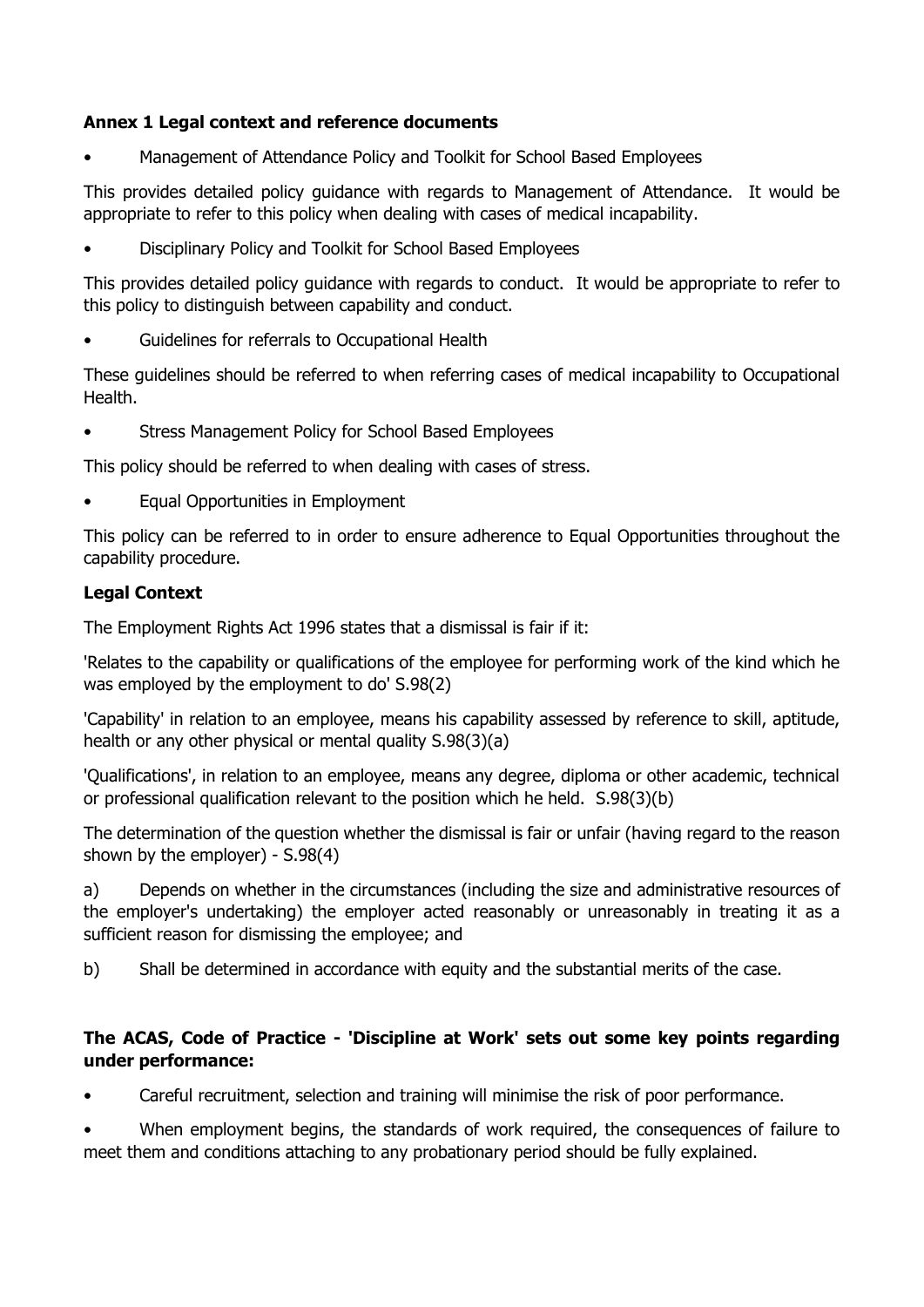## **Annex 1 Legal context and reference documents**

• Management of Attendance Policy and Toolkit for School Based Employees

This provides detailed policy guidance with regards to Management of Attendance. It would be appropriate to refer to this policy when dealing with cases of medical incapability.

• Disciplinary Policy and Toolkit for School Based Employees

This provides detailed policy guidance with regards to conduct. It would be appropriate to refer to this policy to distinguish between capability and conduct.

• Guidelines for referrals to Occupational Health

These guidelines should be referred to when referring cases of medical incapability to Occupational Health.

• Stress Management Policy for School Based Employees

This policy should be referred to when dealing with cases of stress.

• Equal Opportunities in Employment

This policy can be referred to in order to ensure adherence to Equal Opportunities throughout the capability procedure.

#### **Legal Context**

The Employment Rights Act 1996 states that a dismissal is fair if it:

'Relates to the capability or qualifications of the employee for performing work of the kind which he was employed by the employment to do' S.98(2)

'Capability' in relation to an employee, means his capability assessed by reference to skill, aptitude, health or any other physical or mental quality S.98(3)(a)

'Qualifications', in relation to an employee, means any degree, diploma or other academic, technical or professional qualification relevant to the position which he held. S.98(3)(b)

The determination of the question whether the dismissal is fair or unfair (having regard to the reason shown by the employer) - S.98(4)

a) Depends on whether in the circumstances (including the size and administrative resources of the employer's undertaking) the employer acted reasonably or unreasonably in treating it as a sufficient reason for dismissing the employee; and

b) Shall be determined in accordance with equity and the substantial merits of the case.

## **The ACAS, Code of Practice - 'Discipline at Work' sets out some key points regarding under performance:**

• Careful recruitment, selection and training will minimise the risk of poor performance.

When employment begins, the standards of work reguired, the consequences of failure to meet them and conditions attaching to any probationary period should be fully explained.